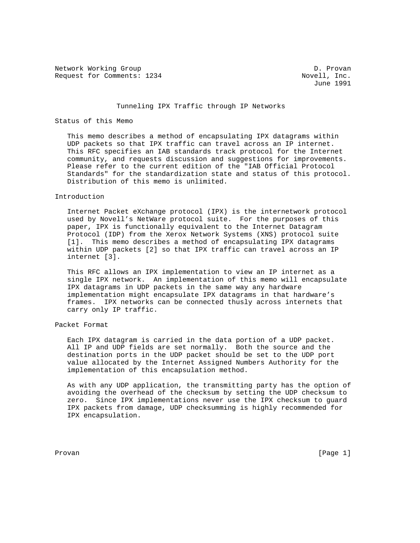Network Working Group 1999 1999 1999 10 Novell, Inc.<br>Request for Comments: 1234 Request for Comments: 1234

June 1991

## Tunneling IPX Traffic through IP Networks

### Status of this Memo

 This memo describes a method of encapsulating IPX datagrams within UDP packets so that IPX traffic can travel across an IP internet. This RFC specifies an IAB standards track protocol for the Internet community, and requests discussion and suggestions for improvements. Please refer to the current edition of the "IAB Official Protocol Standards" for the standardization state and status of this protocol. Distribution of this memo is unlimited.

### Introduction

 Internet Packet eXchange protocol (IPX) is the internetwork protocol used by Novell's NetWare protocol suite. For the purposes of this paper, IPX is functionally equivalent to the Internet Datagram Protocol (IDP) from the Xerox Network Systems (XNS) protocol suite [1]. This memo describes a method of encapsulating IPX datagrams within UDP packets [2] so that IPX traffic can travel across an IP internet [3].

 This RFC allows an IPX implementation to view an IP internet as a single IPX network. An implementation of this memo will encapsulate IPX datagrams in UDP packets in the same way any hardware implementation might encapsulate IPX datagrams in that hardware's frames. IPX networks can be connected thusly across internets that carry only IP traffic.

# Packet Format

 Each IPX datagram is carried in the data portion of a UDP packet. All IP and UDP fields are set normally. Both the source and the destination ports in the UDP packet should be set to the UDP port value allocated by the Internet Assigned Numbers Authority for the implementation of this encapsulation method.

 As with any UDP application, the transmitting party has the option of avoiding the overhead of the checksum by setting the UDP checksum to zero. Since IPX implementations never use the IPX checksum to guard IPX packets from damage, UDP checksumming is highly recommended for IPX encapsulation.

Provan [Page 1]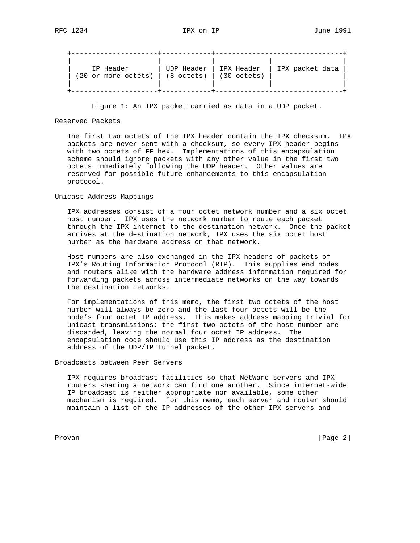| IP Header           | UDP Header           | IPX Header            | IPX packet data |
|---------------------|----------------------|-----------------------|-----------------|
| (20 or more octets) | $(8 \text{ octets})$ | $(30 \text{ octets})$ |                 |

Figure 1: An IPX packet carried as data in a UDP packet.

## Reserved Packets

 The first two octets of the IPX header contain the IPX checksum. IPX packets are never sent with a checksum, so every IPX header begins with two octets of FF hex. Implementations of this encapsulation scheme should ignore packets with any other value in the first two octets immediately following the UDP header. Other values are reserved for possible future enhancements to this encapsulation protocol.

## Unicast Address Mappings

 IPX addresses consist of a four octet network number and a six octet host number. IPX uses the network number to route each packet through the IPX internet to the destination network. Once the packet arrives at the destination network, IPX uses the six octet host number as the hardware address on that network.

 Host numbers are also exchanged in the IPX headers of packets of IPX's Routing Information Protocol (RIP). This supplies end nodes and routers alike with the hardware address information required for forwarding packets across intermediate networks on the way towards the destination networks.

 For implementations of this memo, the first two octets of the host number will always be zero and the last four octets will be the node's four octet IP address. This makes address mapping trivial for unicast transmissions: the first two octets of the host number are discarded, leaving the normal four octet IP address. The encapsulation code should use this IP address as the destination address of the UDP/IP tunnel packet.

Broadcasts between Peer Servers

 IPX requires broadcast facilities so that NetWare servers and IPX routers sharing a network can find one another. Since internet-wide IP broadcast is neither appropriate nor available, some other mechanism is required. For this memo, each server and router should maintain a list of the IP addresses of the other IPX servers and

Provan [Page 2]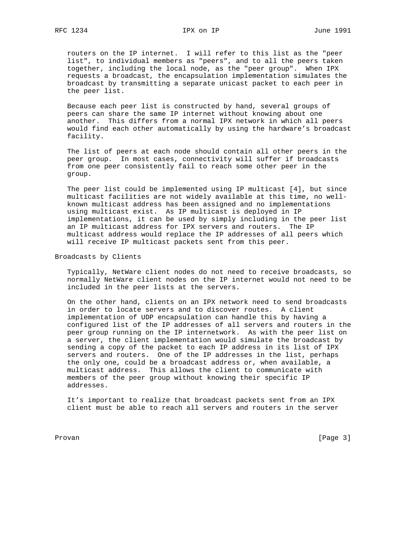routers on the IP internet. I will refer to this list as the "peer list", to individual members as "peers", and to all the peers taken together, including the local node, as the "peer group". When IPX requests a broadcast, the encapsulation implementation simulates the broadcast by transmitting a separate unicast packet to each peer in the peer list.

 Because each peer list is constructed by hand, several groups of peers can share the same IP internet without knowing about one another. This differs from a normal IPX network in which all peers would find each other automatically by using the hardware's broadcast facility.

 The list of peers at each node should contain all other peers in the peer group. In most cases, connectivity will suffer if broadcasts from one peer consistently fail to reach some other peer in the group.

 The peer list could be implemented using IP multicast [4], but since multicast facilities are not widely available at this time, no well known multicast address has been assigned and no implementations using multicast exist. As IP multicast is deployed in IP implementations, it can be used by simply including in the peer list an IP multicast address for IPX servers and routers. The IP multicast address would replace the IP addresses of all peers which will receive IP multicast packets sent from this peer.

Broadcasts by Clients

 Typically, NetWare client nodes do not need to receive broadcasts, so normally NetWare client nodes on the IP internet would not need to be included in the peer lists at the servers.

 On the other hand, clients on an IPX network need to send broadcasts in order to locate servers and to discover routes. A client implementation of UDP encapsulation can handle this by having a configured list of the IP addresses of all servers and routers in the peer group running on the IP internetwork. As with the peer list on a server, the client implementation would simulate the broadcast by sending a copy of the packet to each IP address in its list of IPX servers and routers. One of the IP addresses in the list, perhaps the only one, could be a broadcast address or, when available, a multicast address. This allows the client to communicate with members of the peer group without knowing their specific IP addresses.

 It's important to realize that broadcast packets sent from an IPX client must be able to reach all servers and routers in the server

Provan [Page 3]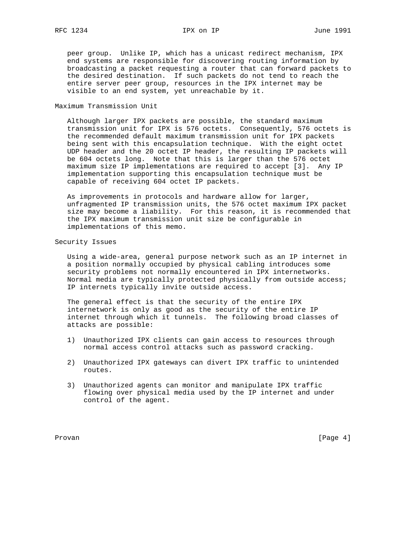### RFC 1234 **IPX on IP** June 1991

 peer group. Unlike IP, which has a unicast redirect mechanism, IPX end systems are responsible for discovering routing information by broadcasting a packet requesting a router that can forward packets to the desired destination. If such packets do not tend to reach the entire server peer group, resources in the IPX internet may be visible to an end system, yet unreachable by it.

#### Maximum Transmission Unit

 Although larger IPX packets are possible, the standard maximum transmission unit for IPX is 576 octets. Consequently, 576 octets is the recommended default maximum transmission unit for IPX packets being sent with this encapsulation technique. With the eight octet UDP header and the 20 octet IP header, the resulting IP packets will be 604 octets long. Note that this is larger than the 576 octet maximum size IP implementations are required to accept [3]. Any IP implementation supporting this encapsulation technique must be capable of receiving 604 octet IP packets.

 As improvements in protocols and hardware allow for larger, unfragmented IP transmission units, the 576 octet maximum IPX packet size may become a liability. For this reason, it is recommended that the IPX maximum transmission unit size be configurable in implementations of this memo.

## Security Issues

 Using a wide-area, general purpose network such as an IP internet in a position normally occupied by physical cabling introduces some security problems not normally encountered in IPX internetworks. Normal media are typically protected physically from outside access; IP internets typically invite outside access.

 The general effect is that the security of the entire IPX internetwork is only as good as the security of the entire IP internet through which it tunnels. The following broad classes of attacks are possible:

- 1) Unauthorized IPX clients can gain access to resources through normal access control attacks such as password cracking.
- 2) Unauthorized IPX gateways can divert IPX traffic to unintended routes.
- 3) Unauthorized agents can monitor and manipulate IPX traffic flowing over physical media used by the IP internet and under control of the agent.

Provan [Page 4]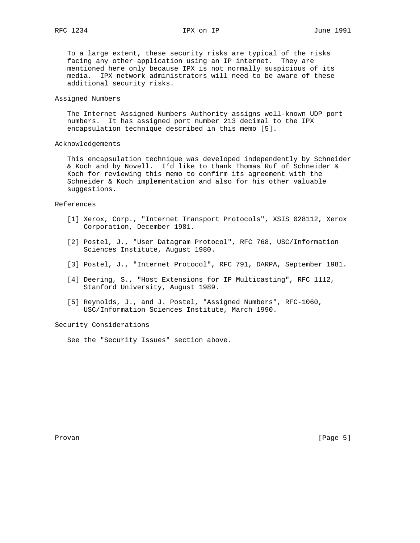To a large extent, these security risks are typical of the risks facing any other application using an IP internet. They are mentioned here only because IPX is not normally suspicious of its media. IPX network administrators will need to be aware of these additional security risks.

## Assigned Numbers

 The Internet Assigned Numbers Authority assigns well-known UDP port numbers. It has assigned port number 213 decimal to the IPX encapsulation technique described in this memo [5].

### Acknowledgements

 This encapsulation technique was developed independently by Schneider & Koch and by Novell. I'd like to thank Thomas Ruf of Schneider & Koch for reviewing this memo to confirm its agreement with the Schneider & Koch implementation and also for his other valuable suggestions.

### References

- [1] Xerox, Corp., "Internet Transport Protocols", XSIS 028112, Xerox Corporation, December 1981.
- [2] Postel, J., "User Datagram Protocol", RFC 768, USC/Information Sciences Institute, August 1980.
- [3] Postel, J., "Internet Protocol", RFC 791, DARPA, September 1981.
- [4] Deering, S., "Host Extensions for IP Multicasting", RFC 1112, Stanford University, August 1989.
- [5] Reynolds, J., and J. Postel, "Assigned Numbers", RFC-1060, USC/Information Sciences Institute, March 1990.

## Security Considerations

See the "Security Issues" section above.

Provan [Page 5]